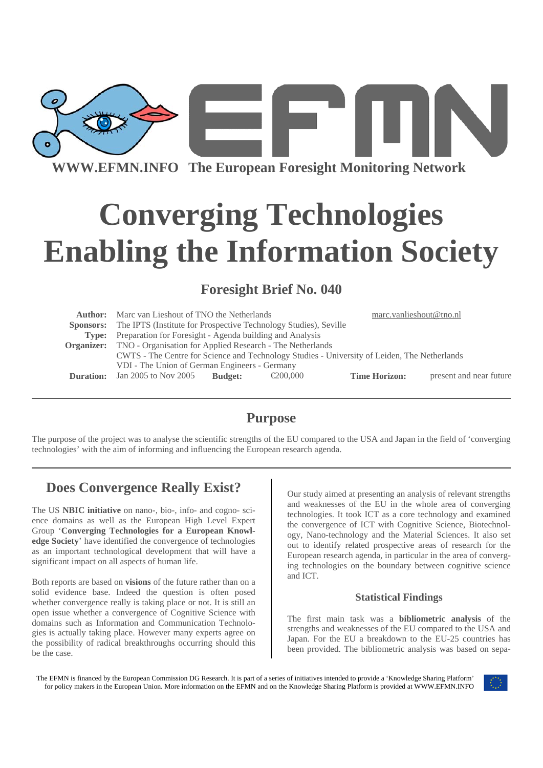

**WWW.EFMN.INFO The European Foresight Monitoring Network**

# **Converging Technologies Enabling the Information Society**

## **Foresight Brief No. 040**

|       | <b>Author:</b> Marc van Lieshout of TNO the Netherlands                                      |                |                    | marc.vanlieshout@tno.nl |                         |
|-------|----------------------------------------------------------------------------------------------|----------------|--------------------|-------------------------|-------------------------|
|       | <b>Sponsors:</b> The IPTS (Institute for Prospective Technology Studies), Seville            |                |                    |                         |                         |
| Type: | Preparation for Foresight - Agenda building and Analysis                                     |                |                    |                         |                         |
|       | <b>Organizer:</b> TNO - Organisation for Applied Research - The Netherlands                  |                |                    |                         |                         |
|       | CWTS - The Centre for Science and Technology Studies - University of Leiden, The Netherlands |                |                    |                         |                         |
|       | VDI - The Union of German Engineers - Germany                                                |                |                    |                         |                         |
|       | <b>Duration:</b> Jan 2005 to Nov 2005                                                        | <b>Budget:</b> | $\epsilon$ 200.000 | <b>Time Horizon:</b>    | present and near future |
|       |                                                                                              |                |                    |                         |                         |

# **Purpose**

The purpose of the project was to analyse the scientific strengths of the EU compared to the USA and Japan in the field of 'converging technologies' with the aim of informing and influencing the European research agenda.

# **Does Convergence Really Exist?**

The US **NBIC initiative** on nano-, bio-, info- and cogno- science domains as well as the European High Level Expert Group '**Converging Technologies for a European Knowledge Society**' have identified the convergence of technologies as an important technological development that will have a significant impact on all aspects of human life.

Both reports are based on **visions** of the future rather than on a solid evidence base. Indeed the question is often posed whether convergence really is taking place or not. It is still an open issue whether a convergence of Cognitive Science with domains such as Information and Communication Technologies is actually taking place. However many experts agree on the possibility of radical breakthroughs occurring should this be the case.

Our study aimed at presenting an analysis of relevant strengths and weaknesses of the EU in the whole area of converging technologies. It took ICT as a core technology and examined the convergence of ICT with Cognitive Science, Biotechnology, Nano-technology and the Material Sciences. It also set out to identify related prospective areas of research for the European research agenda, in particular in the area of converging technologies on the boundary between cognitive science and ICT.

## **Statistical Findings**

The first main task was a **bibliometric analysis** of the strengths and weaknesses of the EU compared to the USA and Japan. For the EU a breakdown to the EU-25 countries has been provided. The bibliometric analysis was based on sepa-

The EFMN is financed by the European Commission DG Research. It is part of a series of initiatives intended to provide a 'Knowledge Sharing Platform' for policy makers in the European Union. More information on the EFMN and on the Knowledge Sharing Platform is provided at WWW.EFMN.INFO

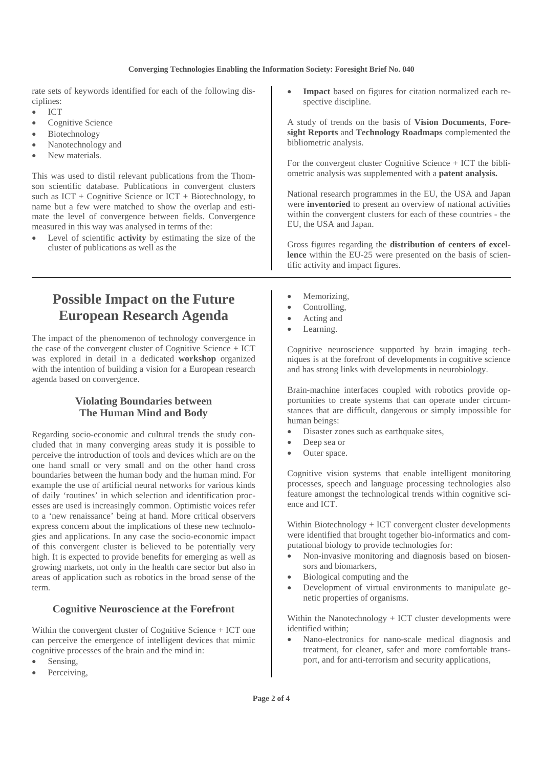#### **Converging Technologies Enabling the Information Society: Foresight Brief No. 040**

rate sets of keywords identified for each of the following disciplines:

- ICT
- Cognitive Science
- **Biotechnology**
- Nanotechnology and
- New materials.

This was used to distil relevant publications from the Thomson scientific database. Publications in convergent clusters such as  $ICT + Cognitive Science$  or  $ICT + Biotechnology$ , to name but a few were matched to show the overlap and estimate the level of convergence between fields. Convergence measured in this way was analysed in terms of the:

- Level of scientific **activity** by estimating the size of the cluster of publications as well as the
	- **Possible Impact on the Future European Research Agenda**

The impact of the phenomenon of technology convergence in the case of the convergent cluster of Cognitive Science + ICT was explored in detail in a dedicated **workshop** organized with the intention of building a vision for a European research agenda based on convergence.

## **Violating Boundaries between The Human Mind and Body**

Regarding socio-economic and cultural trends the study concluded that in many converging areas study it is possible to perceive the introduction of tools and devices which are on the one hand small or very small and on the other hand cross boundaries between the human body and the human mind. For example the use of artificial neural networks for various kinds of daily 'routines' in which selection and identification processes are used is increasingly common. Optimistic voices refer to a 'new renaissance' being at hand. More critical observers express concern about the implications of these new technologies and applications. In any case the socio-economic impact of this convergent cluster is believed to be potentially very high. It is expected to provide benefits for emerging as well as growing markets, not only in the health care sector but also in areas of application such as robotics in the broad sense of the term.

## **Cognitive Neuroscience at the Forefront**

Within the convergent cluster of Cognitive Science + ICT one can perceive the emergence of intelligent devices that mimic cognitive processes of the brain and the mind in:

- Sensing,
- Perceiving,

Impact based on figures for citation normalized each respective discipline.

A study of trends on the basis of **Vision Documents**, **Foresight Reports** and **Technology Roadmaps** complemented the bibliometric analysis.

For the convergent cluster Cognitive Science + ICT the bibliometric analysis was supplemented with a **patent analysis.**

National research programmes in the EU, the USA and Japan were **inventoried** to present an overview of national activities within the convergent clusters for each of these countries - the EU, the USA and Japan.

Gross figures regarding the **distribution of centers of excellence** within the EU-25 were presented on the basis of scientific activity and impact figures.

- Memorizing,
- Controlling,
- Acting and
- Learning.

Cognitive neuroscience supported by brain imaging techniques is at the forefront of developments in cognitive science and has strong links with developments in neurobiology.

Brain-machine interfaces coupled with robotics provide opportunities to create systems that can operate under circumstances that are difficult, dangerous or simply impossible for human beings:

- Disaster zones such as earthquake sites,
- Deep sea or
- Outer space.

Cognitive vision systems that enable intelligent monitoring processes, speech and language processing technologies also feature amongst the technological trends within cognitive science and ICT.

Within Biotechnology + ICT convergent cluster developments were identified that brought together bio-informatics and computational biology to provide technologies for:

- Non-invasive monitoring and diagnosis based on biosensors and biomarkers,
- Biological computing and the
- Development of virtual environments to manipulate genetic properties of organisms.

Within the Nanotechnology + ICT cluster developments were identified within;

Nano-electronics for nano-scale medical diagnosis and treatment, for cleaner, safer and more comfortable transport, and for anti-terrorism and security applications,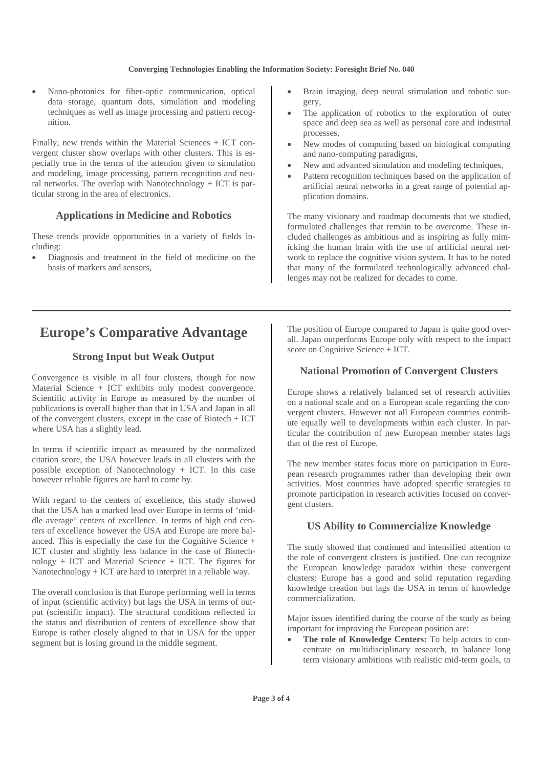#### **Converging Technologies Enabling the Information Society: Foresight Brief No. 040**

• Nano-photonics for fiber-optic communication, optical data storage, quantum dots, simulation and modeling techniques as well as image processing and pattern recognition.

Finally, new trends within the Material Sciences + ICT convergent cluster show overlaps with other clusters. This is especially true in the terms of the attention given to simulation and modeling, image processing, pattern recognition and neural networks. The overlap with Nanotechnology + ICT is particular strong in the area of electronics.

## **Applications in Medicine and Robotics**

These trends provide opportunities in a variety of fields including:

• Diagnosis and treatment in the field of medicine on the basis of markers and sensors,

- Brain imaging, deep neural stimulation and robotic surgery,
- The application of robotics to the exploration of outer space and deep sea as well as personal care and industrial processes,
- New modes of computing based on biological computing and nano-computing paradigms,
- New and advanced simulation and modeling techniques,
- Pattern recognition techniques based on the application of artificial neural networks in a great range of potential application domains.

The many visionary and roadmap documents that we studied, formulated challenges that remain to be overcome. These included challenges as ambitious and as inspiring as fully mimicking the human brain with the use of artificial neural network to replace the cognitive vision system. It has to be noted that many of the formulated technologically advanced challenges may not be realized for decades to come.

# **Europe's Comparative Advantage**

## **Strong Input but Weak Output**

Convergence is visible in all four clusters, though for now Material Science + ICT exhibits only modest convergence. Scientific activity in Europe as measured by the number of publications is overall higher than that in USA and Japan in all of the convergent clusters, except in the case of Biotech + ICT where USA has a slightly lead.

In terms if scientific impact as measured by the normalized citation score, the USA however leads in all clusters with the possible exception of Nanotechnology + ICT. In this case however reliable figures are hard to come by.

With regard to the centers of excellence, this study showed that the USA has a marked lead over Europe in terms of 'middle average' centers of excellence. In terms of high end centers of excellence however the USA and Europe are more balanced. This is especially the case for the Cognitive Science + ICT cluster and slightly less balance in the case of Biotechnology + ICT and Material Science + ICT. The figures for Nanotechnology + ICT are hard to interpret in a reliable way.

The overall conclusion is that Europe performing well in terms of input (scientific activity) but lags the USA in terms of output (scientific impact). The structural conditions reflected in the status and distribution of centers of excellence show that Europe is rather closely aligned to that in USA for the upper segment but is losing ground in the middle segment.

The position of Europe compared to Japan is quite good overall. Japan outperforms Europe only with respect to the impact score on Cognitive Science + ICT.

## **National Promotion of Convergent Clusters**

Europe shows a relatively balanced set of research activities on a national scale and on a European scale regarding the convergent clusters. However not all European countries contribute equally well to developments within each cluster. In particular the contribution of new European member states lags that of the rest of Europe.

The new member states focus more on participation in European research programmes rather than developing their own activities. Most countries have adopted specific strategies to promote participation in research activities focused on convergent clusters.

## **US Ability to Commercialize Knowledge**

The study showed that continued and intensified attention to the role of convergent clusters is justified. One can recognize the European knowledge paradox within these convergent clusters: Europe has a good and solid reputation regarding knowledge creation but lags the USA in terms of knowledge commercialization.

Major issues identified during the course of the study as being important for improving the European position are:

• **The role of Knowledge Centers:** To help actors to concentrate on multidisciplinary research, to balance long term visionary ambitions with realistic mid-term goals, to